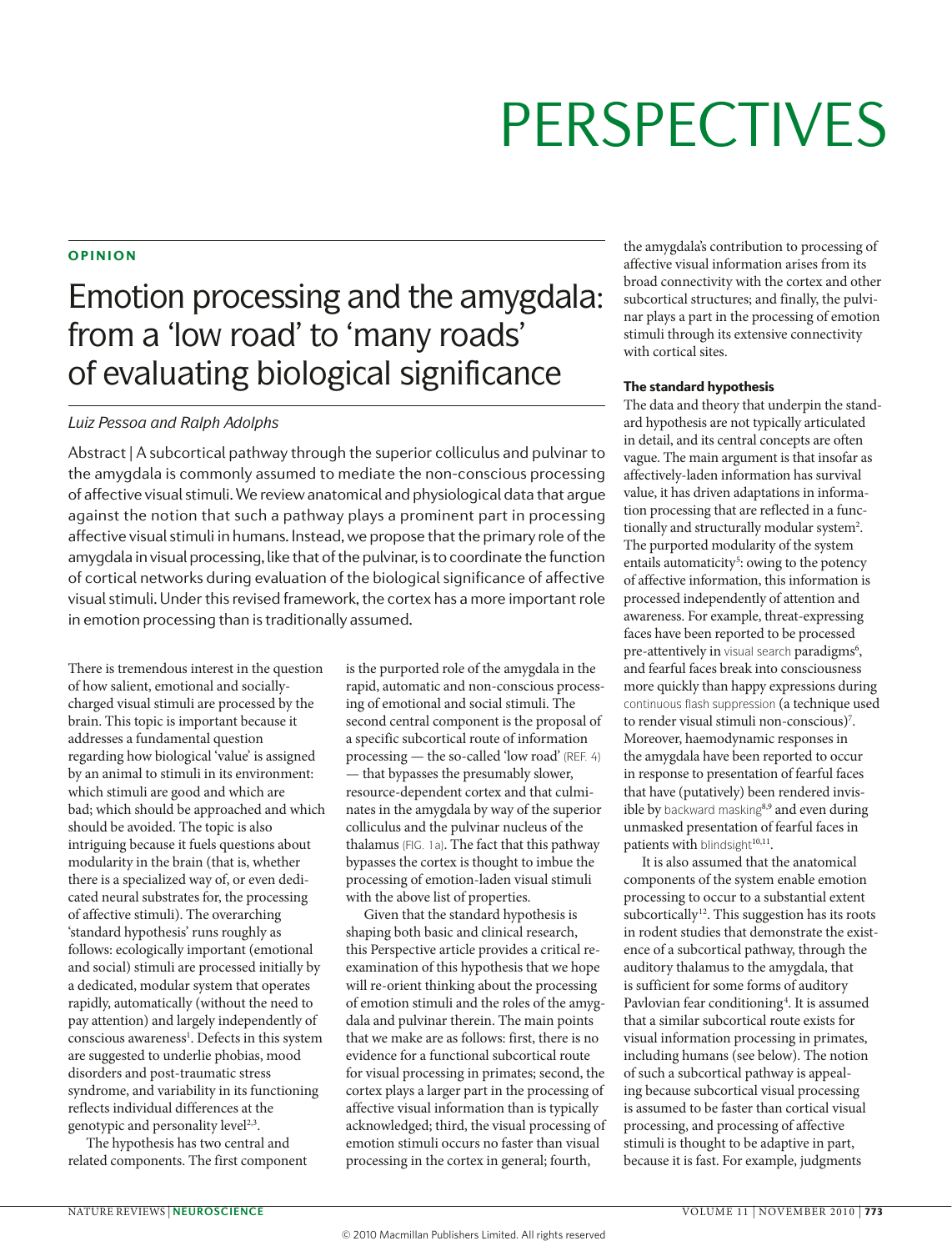#### opinion

# Emotion processing and the amygdala: from a 'low road' to 'many roads' of evaluating biological significance

#### *Luiz Pessoa and Ralph Adolphs*

Abstract | A subcortical pathway through the superior colliculus and pulvinar to the amygdala is commonly assumed to mediate the non-conscious processing of affective visual stimuli. We review anatomical and physiological data that argue against the notion that such a pathway plays a prominent part in processing affective visual stimuli in humans. Instead, we propose that the primary role of the amygdala in visual processing, like that of the pulvinar, is to coordinate the function of cortical networks during evaluation of the biological significance of affective visual stimuli. Under this revised framework, the cortex has a more important role in emotion processing than is traditionally assumed.

There is tremendous interest in the question of how salient, emotional and sociallycharged visual stimuli are processed by the brain. This topic is important because it addresses a fundamental question regarding how biological 'value' is assigned by an animal to stimuli in its environment: which stimuli are good and which are bad; which should be approached and which should be avoided. The topic is also intriguing because it fuels questions about modularity in the brain (that is, whether there is a specialized way of, or even dedicated neural substrates for, the processing of affective stimuli). The overarching 'standard hypothesis' runs roughly as follows: ecologically important (emotional and social) stimuli are processed initially by a dedicated, modular system that operates rapidly, automatically (without the need to pay attention) and largely independently of conscious awareness<sup>1</sup>. Defects in this system are suggested to underlie phobias, mood disorders and post-traumatic stress syndrome, and variability in its functioning reflects individual differences at the genotypic and personality level<sup>2,3</sup>.

The hypothesis has two central and related components. The first component is the purported role of the amygdala in the rapid, automatic and non-conscious processing of emotional and social stimuli. The second central component is the proposal of a specific subcortical route of information processing — the so-called 'low road' (REF. 4) — that bypasses the presumably slower, resource-dependent cortex and that culminates in the amygdala by way of the superior colliculus and the pulvinar nucleus of the thalamus (FIG. 1a). The fact that this pathway bypasses the cortex is thought to imbue the processing of emotion-laden visual stimuli with the above list of properties.

Given that the standard hypothesis is shaping both basic and clinical research, this Perspective article provides a critical reexamination of this hypothesis that we hope will re-orient thinking about the processing of emotion stimuli and the roles of the amygdala and pulvinar therein. The main points that we make are as follows: first, there is no evidence for a functional subcortical route for visual processing in primates; second, the cortex plays a larger part in the processing of affective visual information than is typically acknowledged; third, the visual processing of emotion stimuli occurs no faster than visual processing in the cortex in general; fourth,

the amygdala's contribution to processing of affective visual information arises from its broad connectivity with the cortex and other subcortical structures; and finally, the pulvinar plays a part in the processing of emotion stimuli through its extensive connectivity with cortical sites.

#### The standard hypothesis

The data and theory that underpin the standard hypothesis are not typically articulated in detail, and its central concepts are often vague. The main argument is that insofar as affectively-laden information has survival value, it has driven adaptations in information processing that are reflected in a functionally and structurally modular system<sup>2</sup>. The purported modularity of the system entails automaticity<sup>5</sup>: owing to the potency of affective information, this information is processed independently of attention and awareness. For example, threat-expressing faces have been reported to be processed pre-attentively in visual search paradigms<sup>6</sup>, and fearful faces break into consciousness more quickly than happy expressions during continuous flash suppression (a technique used to render visual stimuli non-conscious)<sup>7</sup>. Moreover, haemodynamic responses in the amygdala have been reported to occur in response to presentation of fearful faces that have (putatively) been rendered invisible by backward masking<sup>8,9</sup> and even during unmasked presentation of fearful faces in patients with blindsight<sup>10,11</sup>.

It is also assumed that the anatomical components of the system enable emotion processing to occur to a substantial extent subcortically<sup>12</sup>. This suggestion has its roots in rodent studies that demonstrate the existence of a subcortical pathway, through the auditory thalamus to the amygdala, that is sufficient for some forms of auditory Pavlovian fear conditioning<sup>4</sup>. It is assumed that a similar subcortical route exists for visual information processing in primates, including humans (see below). The notion of such a subcortical pathway is appealing because subcortical visual processing is assumed to be faster than cortical visual processing, and processing of affective stimuli is thought to be adaptive in part, because it is fast. For example, judgments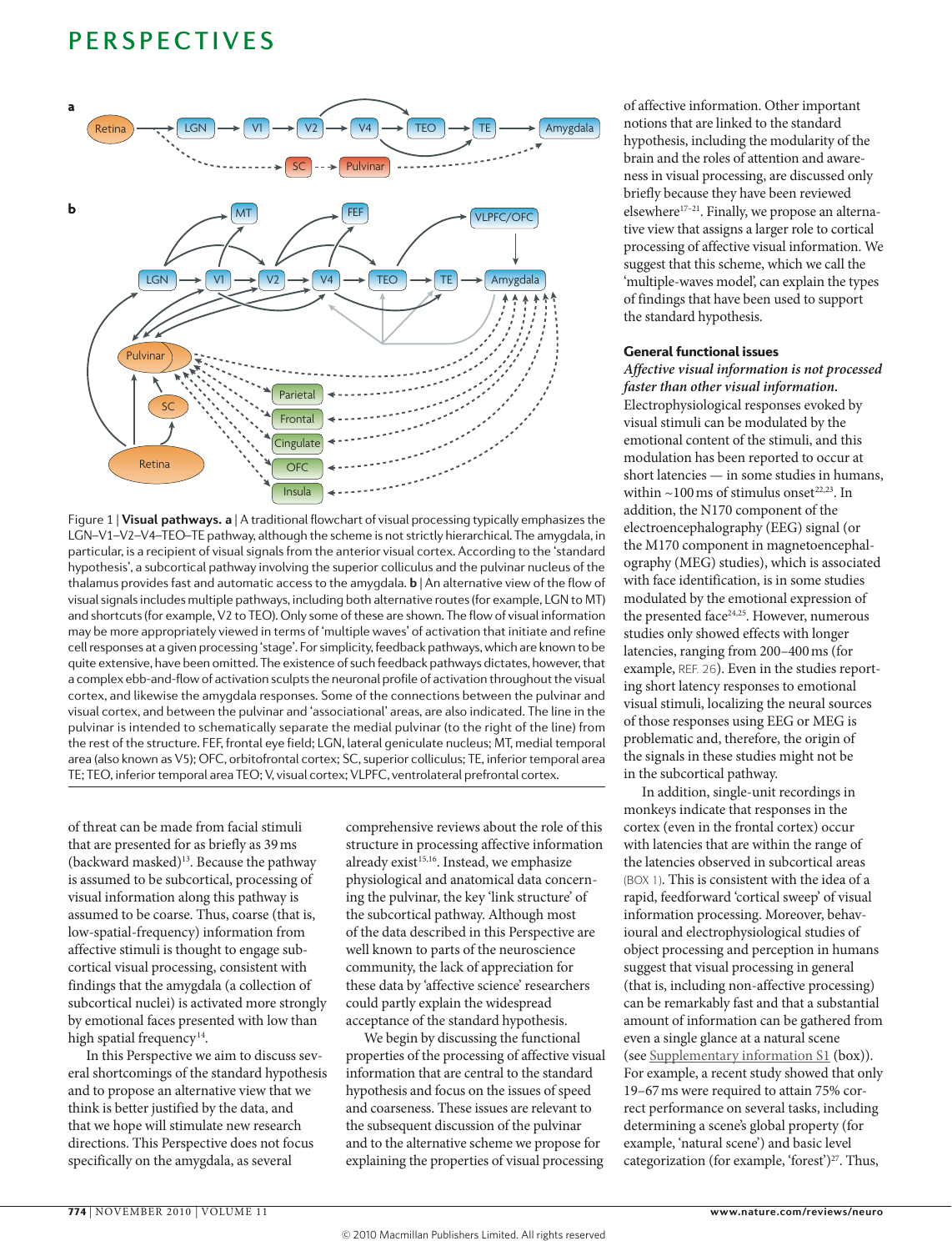

**Nature Reviews** | **Neuroscience** LGN–v1–v2–v4–teO–te pathway, although the scheme is not strictly hierarchical. the amygdala, in Figure 1 | **Visual pathways. a** | A traditional flowchart of visual processing typically emphasizes the particular, is a recipient of visual signals from the anterior visual cortex. According to the 'standard hypothesis', a subcortical pathway involving the superior colliculus and the pulvinar nucleus of the thalamus provides fast and automatic access to the amygdala. **b** | An alternative view of the flow of visual signals includes multiple pathways, including both alternative routes (for example, LGN to Mt) and shortcuts (for example, V2 to TEO). Only some of these are shown. The flow of visual information may be more appropriately viewed in terms of 'multiple waves' of activation that initiate and refine cell responses at a given processing 'stage'. For simplicity, feedback pathways, which are known to be quite extensive, have been omitted. the existence of such feedback pathways dictates, however, that a complex ebb-and-flow of activation sculpts the neuronal profile of activation throughout the visual cortex, and likewise the amygdala responses. some of the connections between the pulvinar and visual cortex, and between the pulvinar and 'associational' areas, are also indicated. the line in the pulvinar is intended to schematically separate the medial pulvinar (to the right of the line) from the rest of the structure. FeF, frontal eye field; LGN, lateral geniculate nucleus; Mt, medial temporal area (also known as V5); OFC, orbitofrontal cortex; SC, superior colliculus; TE, inferior temporal area TE; TEO, inferior temporal area TEO; V, visual cortex; VLPFC, ventrolateral prefrontal cortex.

of threat can be made from facial stimuli that are presented for as briefly as 39ms (backward masked)<sup>13</sup>. Because the pathway is assumed to be subcortical, processing of visual information along this pathway is assumed to be coarse. Thus, coarse (that is, low-spatial-frequency) information from affective stimuli is thought to engage subcortical visual processing, consistent with findings that the amygdala (a collection of subcortical nuclei) is activated more strongly by emotional faces presented with low than high spatial frequency<sup>14</sup>.

In this Perspective we aim to discuss several shortcomings of the standard hypothesis and to propose an alternative view that we think is better justified by the data, and that we hope will stimulate new research directions. This Perspective does not focus specifically on the amygdala, as several

comprehensive reviews about the role of this structure in processing affective information already exist<sup>15,16</sup>. Instead, we emphasize physiological and anatomical data concerning the pulvinar, the key 'link structure' of the subcortical pathway. Although most of the data described in this Perspective are well known to parts of the neuroscience community, the lack of appreciation for these data by 'affective science' researchers could partly explain the widespread acceptance of the standard hypothesis.

we begin by discussing the functional properties of the processing of affective visual information that are central to the standard hypothesis and focus on the issues of speed and coarseness. These issues are relevant to the subsequent discussion of the pulvinar and to the alternative scheme we propose for explaining the properties of visual processing of affective information. other important notions that are linked to the standard hypothesis, including the modularity of the brain and the roles of attention and awareness in visual processing, are discussed only briefly because they have been reviewed elsewhere17–21. Finally, we propose an alternative view that assigns a larger role to cortical processing of affective visual information. we suggest that this scheme, which we call the 'multiple-waves model', can explain the types of findings that have been used to support the standard hypothesis.

#### General functional issues

*Affective visual information is not processed faster than other visual information.*  Electrophysiological responses evoked by visual stimuli can be modulated by the emotional content of the stimuli, and this modulation has been reported to occur at short latencies — in some studies in humans, within  $\sim$ 100 ms of stimulus onset<sup>22,23</sup>. In addition, the N170 component of the electroencephalography (EEG) signal (or the M170 component in magnetoencephalography (MeG) studies), which is associated with face identification, is in some studies modulated by the emotional expression of the presented face<sup>24,25</sup>. However, numerous studies only showed effects with longer latencies, ranging from 200–400ms (for example, REF. 26). Even in the studies reporting short latency responses to emotional visual stimuli, localizing the neural sources of those responses using EEG or MEG is problematic and, therefore, the origin of the signals in these studies might not be in the subcortical pathway.

In addition, single-unit recordings in monkeys indicate that responses in the cortex (even in the frontal cortex) occur with latencies that are within the range of the latencies observed in subcortical areas (BOX 1). This is consistent with the idea of a rapid, feedforward 'cortical sweep' of visual information processing. Moreover, behavioural and electrophysiological studies of object processing and perception in humans suggest that visual processing in general (that is, including non-affective processing) can be remarkably fast and that a substantial amount of information can be gathered from even a single glance at a natural scene (see [supplementary information s1](http://www.nature.com/nrn/journal/v11/n11/suppinfo/nrn2920.html) (box)). For example, a recent study showed that only 19–67ms were required to attain 75% correct performance on several tasks, including determining a scene's global property (for example, 'natural scene') and basic level categorization (for example, 'forest')<sup>27</sup>. Thus,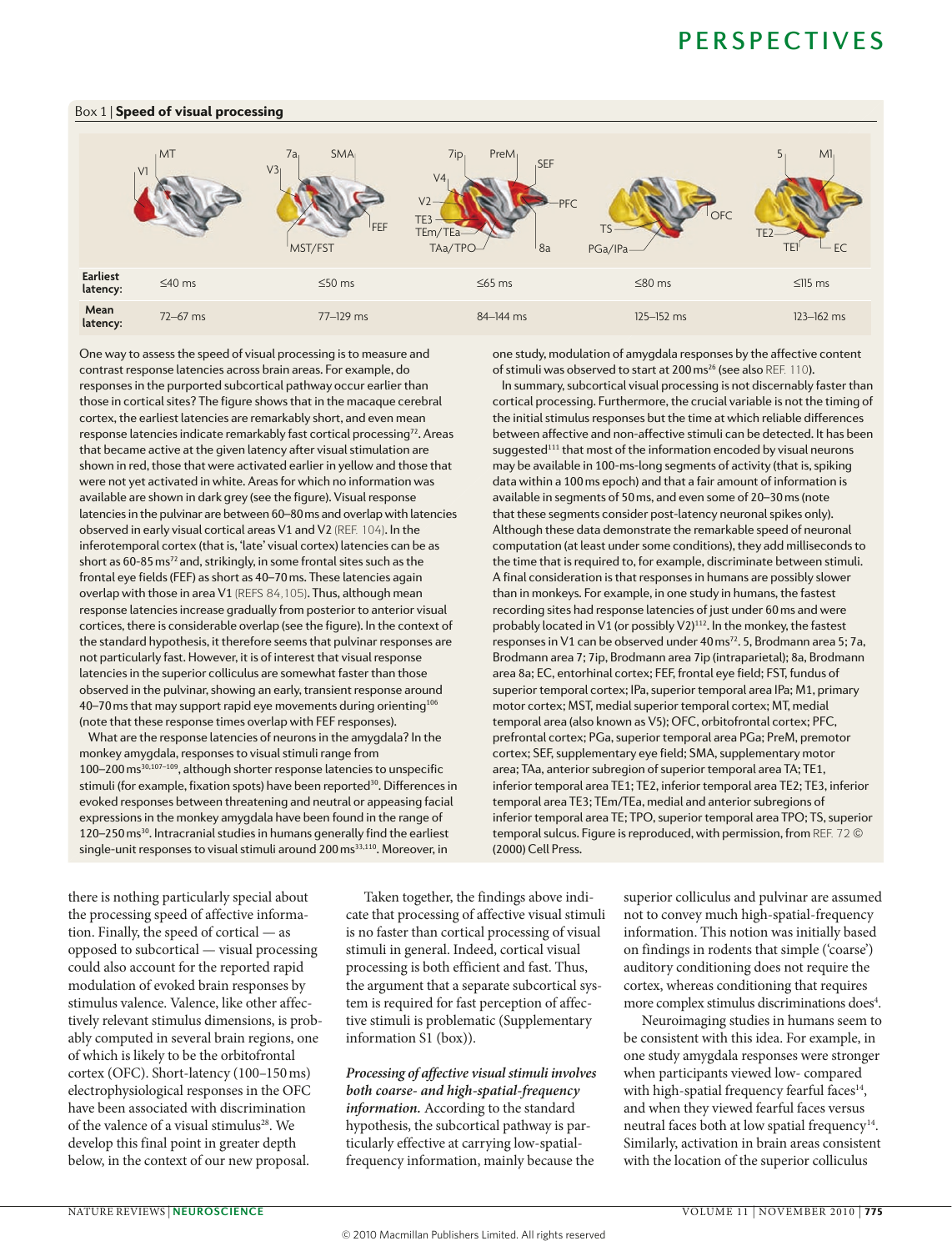# **PFRSPFCTIVES**



#### Box 1 | Speed of visual processing

One way to assess the speed of visual processing is to measure and contrast response latencies across brain areas. For example, do responses in the purported subcortical pathway occur earlier than those in cortical sites? The figure shows that in the macaque cerebral cortex, the earliest latencies are remarkably short, and even mean response latencies indicate remarkably fast cortical processing<sup>72</sup>. Areas that became active at the given latency after visual stimulation are shown in red, those that were activated earlier in yellow and those that were not yet activated in white. Areas for which no information was available are shown in dark grey (see the figure). Visual response latencies in the pulvinar are between 60–80ms and overlap with latencies observed in early visual cortical areas V1 and V2 (REF. 104). In the inferotemporal cortex (that is, 'late' visual cortex) latencies can be as short as 60-85 ms<sup>72</sup> and, strikingly, in some frontal sites such as the frontal eye fields (FEF) as short as 40–70ms. These latencies again overlap with those in area V1 (REFs 84,105). Thus, although mean response latencies increase gradually from posterior to anterior visual cortices, there is considerable overlap (see the figure). In the context of the standard hypothesis, it therefore seems that pulvinar responses are not particularly fast. However, it is of interest that visual response latencies in the superior colliculus are somewhat faster than those observed in the pulvinar, showing an early, transient response around 40–70 ms that may support rapid eye movements during orienting<sup>106</sup> (note that these response times overlap with FEF responses).

What are the response latencies of neurons in the amygdala? In the monkey amygdala, responses to visual stimuli range from 100–200ms30,107–109, although shorter response latencies to unspecific stimuli (for example, fixation spots) have been reported<sup>30</sup>. Differences in evoked responses between threatening and neutral or appeasing facial expressions in the monkey amygdala have been found in the range of 120–250 ms<sup>30</sup>. Intracranial studies in humans generally find the earliest single-unit responses to visual stimuli around 200 ms<sup>33,110</sup>. Moreover, in

of stimuli was observed to start at 200 ms<sup>26</sup> (see also REF. 110). one study, modulation of amygdala responses by the affective content

In summary, subcortical visual processing is not discernably faster than cortical processing. Furthermore, the crucial variable is not the timing of the initial stimulus responses but the time at which reliable differences between affective and non‑affective stimuli can be detected. It has been suggested<sup>111</sup> that most of the information encoded by visual neurons may be available in 100‑ms‑long segments of activity (that is, spiking data within a 100ms epoch) and that a fair amount of information is available in segments of 50ms, and even some of 20–30ms (note that these segments consider post-latency neuronal spikes only). Although these data demonstrate the remarkable speed of neuronal computation (at least under some conditions), they add milliseconds to the time that is required to, for example, discriminate between stimuli. A final consideration is that responses in humans are possibly slower than in monkeys. For example, in one study in humans, the fastest recording sites had response latencies of just under 60ms and were probably located in V1 (or possibly V2)<sup>112</sup>. In the monkey, the fastest responses in V1 can be observed under 40 ms<sup>72</sup>. 5, Brodmann area 5; 7a, Brodmann area 7; 7ip, Brodmann area 7ip (intraparietal); 8a, Brodmann area 8a; EC, entorhinal cortex; FEF, frontal eye field; FST, fundus of superior temporal cortex; IPa, superior temporal area IPa; M1, primary motor cortex; MST, medial superior temporal cortex; MT, medial temporal area (also known as V5); OFC, orbitofrontal cortex; PFC, prefrontal cortex; PGa, superior temporal area PGa; PreM, premotor cortex; SEF, supplementary eye field; SMA, supplementary motor area; TAa, anterior subregion of superior temporal area TA; TE1, inferior temporal area TE1; TE2, inferior temporal area TE2; TE3, inferior temporal area TE3; TEm/TEa, medial and anterior subregions of inferior temporal area TE; TPO, superior temporal area TPO; TS, superior temporal sulcus. Figure is reproduced, with permission, from REF. 72 © (2000) Cell Press.

there is nothing particularly special about the processing speed of affective information. Finally, the speed of cortical — as opposed to subcortical — visual processing could also account for the reported rapid modulation of evoked brain responses by stimulus valence. valence, like other affectively relevant stimulus dimensions, is probably computed in several brain regions, one of which is likely to be the orbitofrontal cortex (oFC). short-latency (100–150ms) electrophysiological responses in the oFC have been associated with discrimination of the valence of a visual stimulus<sup>28</sup>. We develop this final point in greater depth below, in the context of our new proposal.

Taken together, the findings above indicate that processing of affective visual stimuli is no faster than cortical processing of visual stimuli in general. Indeed, cortical visual processing is both efficient and fast. Thus, the argument that a separate subcortical system is required for fast perception of affective stimuli is problematic (Supplementary information s1 (box)).

*Processing of affective visual stimuli involves both coarse- and high-spatial-frequency*  information. According to the standard hypothesis, the subcortical pathway is particularly effective at carrying low-spatialfrequency information, mainly because the

superior colliculus and pulvinar are assumed not to convey much high-spatial-frequency information. This notion was initially based on findings in rodents that simple ('coarse') auditory conditioning does not require the cortex, whereas conditioning that requires more complex stimulus discriminations does<sup>4</sup>.

Neuroimaging studies in humans seem to be consistent with this idea. For example, in one study amygdala responses were stronger when participants viewed low- compared with high-spatial frequency fearful faces<sup>14</sup>, and when they viewed fearful faces versus neutral faces both at low spatial frequency<sup>14</sup>. similarly, activation in brain areas consistent with the location of the superior colliculus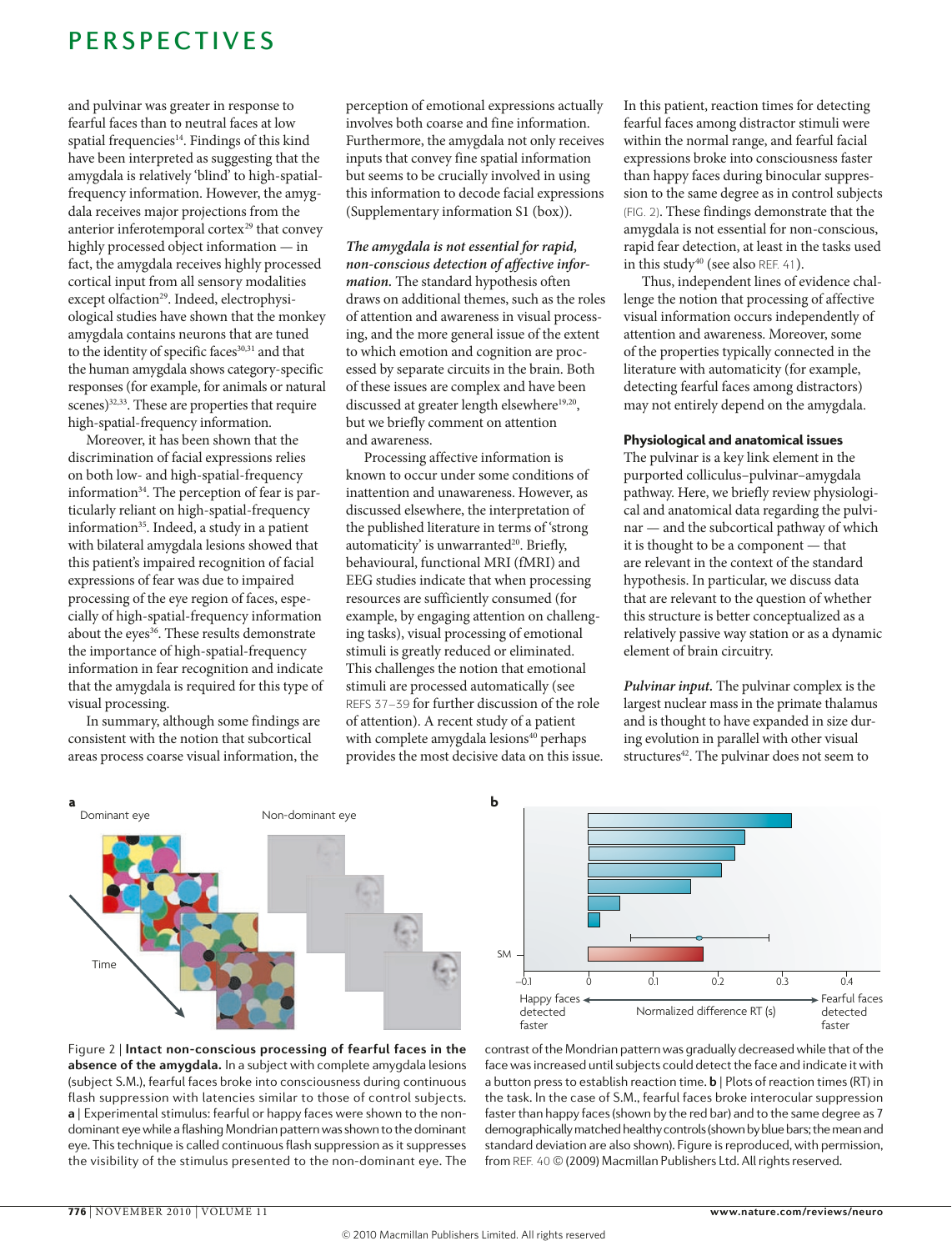and pulvinar was greater in response to fearful faces than to neutral faces at low spatial frequencies<sup>14</sup>. Findings of this kind have been interpreted as suggesting that the amygdala is relatively 'blind' to high-spatialfrequency information. However, the amygdala receives major projections from the anterior inferotemporal cortex<sup>29</sup> that convey highly processed object information — in fact, the amygdala receives highly processed cortical input from all sensory modalities except olfaction<sup>29</sup>. Indeed, electrophysiological studies have shown that the monkey amygdala contains neurons that are tuned to the identity of specific faces<sup>30,31</sup> and that the human amygdala shows category-specific responses (for example, for animals or natural scenes)<sup>32,33</sup>. These are properties that require high-spatial-frequency information.

Moreover, it has been shown that the discrimination of facial expressions relies on both low- and high-spatial-frequency information<sup>34</sup>. The perception of fear is particularly reliant on high-spatial-frequency information<sup>35</sup>. Indeed, a study in a patient with bilateral amygdala lesions showed that this patient's impaired recognition of facial expressions of fear was due to impaired processing of the eye region of faces, especially of high-spatial-frequency information about the eyes<sup>36</sup>. These results demonstrate the importance of high-spatial-frequency information in fear recognition and indicate that the amygdala is required for this type of visual processing.

In summary, although some findings are consistent with the notion that subcortical areas process coarse visual information, the

perception of emotional expressions actually involves both coarse and fine information. Furthermore, the amygdala not only receives inputs that convey fine spatial information but seems to be crucially involved in using this information to decode facial expressions (supplementary information s1 (box)).

*The amygdala is not essential for rapid, non-conscious detection of affective information.* The standard hypothesis often draws on additional themes, such as the roles of attention and awareness in visual processing, and the more general issue of the extent to which emotion and cognition are processed by separate circuits in the brain. Both of these issues are complex and have been discussed at greater length elsewhere<sup>19,20</sup>, but we briefly comment on attention and awareness.

Processing affective information is known to occur under some conditions of inattention and unawareness. However, as discussed elsewhere, the interpretation of the published literature in terms of 'strong automaticity' is unwarranted<sup>20</sup>. Briefly, behavioural, functional MRI (fMRI) and EEG studies indicate that when processing resources are sufficiently consumed (for example, by engaging attention on challenging tasks), visual processing of emotional stimuli is greatly reduced or eliminated. This challenges the notion that emotional stimuli are processed automatically (see REFs 37–39 for further discussion of the role of attention). a recent study of a patient with complete amygdala lesions<sup>40</sup> perhaps provides the most decisive data on this issue. In this patient, reaction times for detecting fearful faces among distractor stimuli were within the normal range, and fearful facial expressions broke into consciousness faster than happy faces during binocular suppression to the same degree as in control subjects (FIG. 2). These findings demonstrate that the amygdala is not essential for non-conscious, rapid fear detection, at least in the tasks used in this study<sup>40</sup> (see also REF. 41).

Thus, independent lines of evidence challenge the notion that processing of affective visual information occurs independently of attention and awareness. Moreover, some of the properties typically connected in the literature with automaticity (for example, detecting fearful faces among distractors) may not entirely depend on the amygdala.

#### physiological and anatomical issues

The pulvinar is a key link element in the purported colliculus–pulvinar–amygdala pathway. Here, we briefly review physiological and anatomical data regarding the pulvinar — and the subcortical pathway of which it is thought to be a component — that are relevant in the context of the standard hypothesis. In particular, we discuss data that are relevant to the question of whether this structure is better conceptualized as a relatively passive way station or as a dynamic element of brain circuitry.

*Pulvinar input.* The pulvinar complex is the largest nuclear mass in the primate thalamus and is thought to have expanded in size during evolution in parallel with other visual structures<sup>42</sup>. The pulvinar does not seem to



Figure 2 | **intact non-conscious processing of fearful faces in the absence of the amygdala.** In a subject with complete amygdala lesions (subject s.M.), fearful faces broke into consciousness during continuous flash suppression with latencies similar to those of control subjects. **a** | Experimental stimulus: fearful or happy faces were shown to the nondominant eye while a flashing Mondrian pattern was shown to the dominant eye. This technique is called continuous flash suppression as it suppresses the visibility of the stimulus presented to the non-dominant eye. The



a button press to establish reaction time. **b** | Plots of reaction times (RT) in contrast of the Mondrian pattern was gradually decreased while that of the face was increased until subjects could detect the face and indicate it with the task. In the case of s.M., fearful faces broke interocular suppression faster than happy faces (shown by the red bar) and to the same degree as 7 demographically matched healthy controls (shown by blue bars; the mean and standard deviation are also shown). Figure is reproduced, with permission, from REF. 40 ©(2009) Macmillan Publishers Ltd. All rights reserved.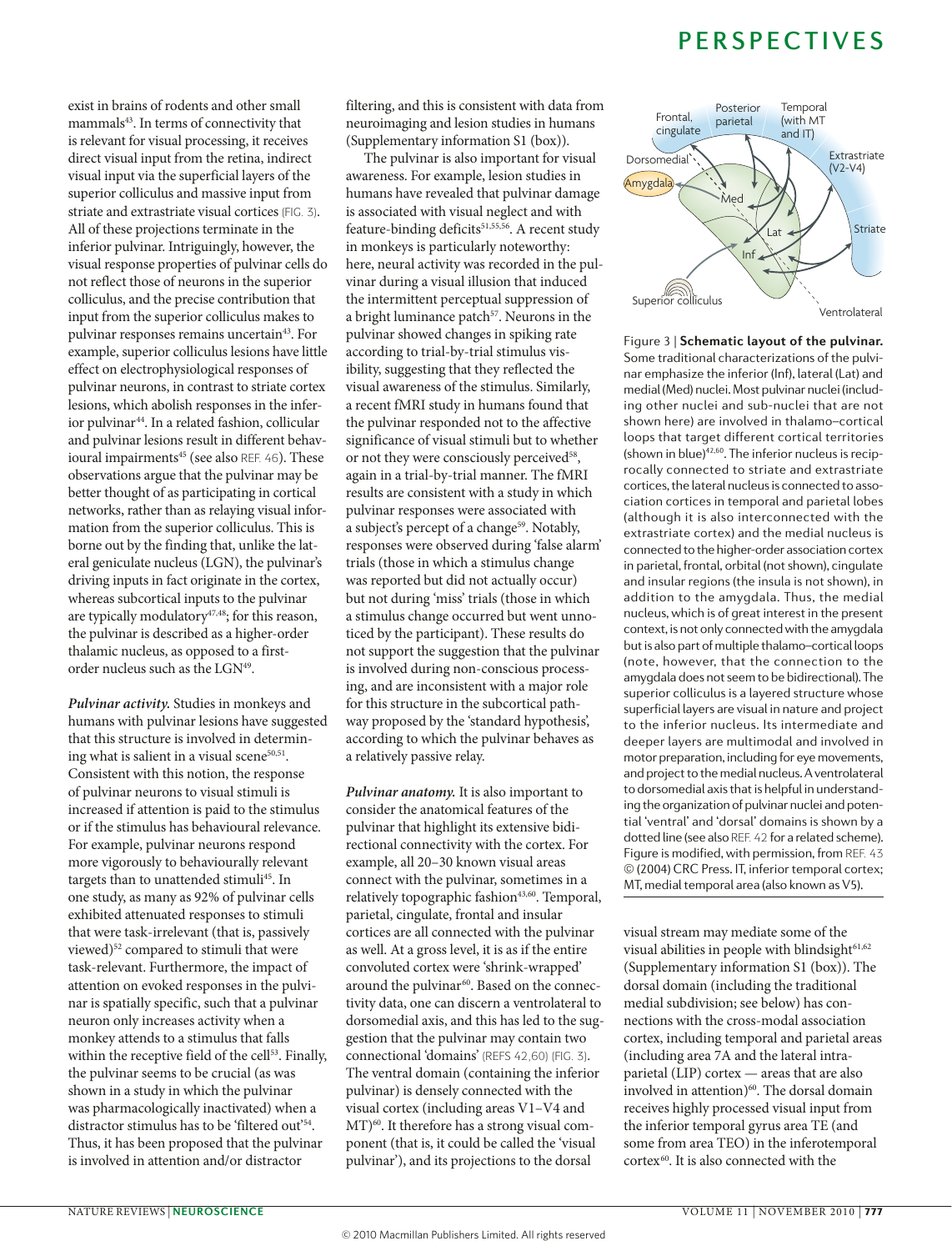## **PFRSPFCTIVES**

exist in brains of rodents and other small mammals<sup>43</sup>. In terms of connectivity that is relevant for visual processing, it receives direct visual input from the retina, indirect visual input via the superficial layers of the superior colliculus and massive input from striate and extrastriate visual cortices (FIG. 3). all of these projections terminate in the inferior pulvinar. Intriguingly, however, the visual response properties of pulvinar cells do not reflect those of neurons in the superior colliculus, and the precise contribution that input from the superior colliculus makes to pulvinar responses remains uncertain<sup>43</sup>. For example, superior colliculus lesions have little effect on electrophysiological responses of pulvinar neurons, in contrast to striate cortex lesions, which abolish responses in the inferior pulvinar<sup>44</sup>. In a related fashion, collicular and pulvinar lesions result in different behavioural impairments<sup>45</sup> (see also REF. 46). These observations argue that the pulvinar may be better thought of as participating in cortical networks, rather than as relaying visual information from the superior colliculus. This is borne out by the finding that, unlike the lateral geniculate nucleus (LGN), the pulvinar's driving inputs in fact originate in the cortex, whereas subcortical inputs to the pulvinar are typically modulatory<sup>47,48</sup>; for this reason, the pulvinar is described as a higher-order thalamic nucleus, as opposed to a firstorder nucleus such as the LGN<sup>49</sup>.

*Pulvinar activity.* studies in monkeys and humans with pulvinar lesions have suggested that this structure is involved in determining what is salient in a visual scene<sup>50,51</sup>. Consistent with this notion, the response of pulvinar neurons to visual stimuli is increased if attention is paid to the stimulus or if the stimulus has behavioural relevance. For example, pulvinar neurons respond more vigorously to behaviourally relevant targets than to unattended stimuli<sup>45</sup>. In one study, as many as 92% of pulvinar cells exhibited attenuated responses to stimuli that were task-irrelevant (that is, passively viewed)52 compared to stimuli that were task-relevant. Furthermore, the impact of attention on evoked responses in the pulvinar is spatially specific, such that a pulvinar neuron only increases activity when a monkey attends to a stimulus that falls within the receptive field of the cell<sup>53</sup>. Finally, the pulvinar seems to be crucial (as was shown in a study in which the pulvinar was pharmacologically inactivated) when a distractor stimulus has to be 'filtered out'54. Thus, it has been proposed that the pulvinar is involved in attention and/or distractor

filtering, and this is consistent with data from neuroimaging and lesion studies in humans (supplementary information s1 (box)).

The pulvinar is also important for visual awareness. For example, lesion studies in humans have revealed that pulvinar damage is associated with visual neglect and with feature-binding deficits<sup>51,55,56</sup>. A recent study in monkeys is particularly noteworthy: here, neural activity was recorded in the pulvinar during a visual illusion that induced the intermittent perceptual suppression of a bright luminance patch<sup>57</sup>. Neurons in the pulvinar showed changes in spiking rate according to trial-by-trial stimulus visibility, suggesting that they reflected the visual awareness of the stimulus. similarly, a recent fMrI study in humans found that the pulvinar responded not to the affective significance of visual stimuli but to whether or not they were consciously perceived<sup>58</sup>, again in a trial-by-trial manner. The fMrI results are consistent with a study in which pulvinar responses were associated with a subject's percept of a change<sup>59</sup>. Notably, responses were observed during 'false alarm' trials (those in which a stimulus change was reported but did not actually occur) but not during 'miss' trials (those in which a stimulus change occurred but went unnoticed by the participant). These results do not support the suggestion that the pulvinar is involved during non-conscious processing, and are inconsistent with a major role for this structure in the subcortical pathway proposed by the 'standard hypothesis', according to which the pulvinar behaves as a relatively passive relay.

*Pulvinar anatomy.* It is also important to consider the anatomical features of the pulvinar that highlight its extensive bidirectional connectivity with the cortex. For example, all 20–30 known visual areas connect with the pulvinar, sometimes in a relatively topographic fashion<sup>43,60</sup>. Temporal, parietal, cingulate, frontal and insular cortices are all connected with the pulvinar as well. at a gross level, it is as if the entire convoluted cortex were 'shrink-wrapped' around the pulvinar<sup>60</sup>. Based on the connectivity data, one can discern a ventrolateral to dorsomedial axis, and this has led to the suggestion that the pulvinar may contain two connectional 'domains' (REFs 42,60) (FIG. 3). The ventral domain (containing the inferior pulvinar) is densely connected with the visual cortex (including areas v1–v4 and  $MT$ <sup>60</sup>. It therefore has a strong visual component (that is, it could be called the 'visual pulvinar'), and its projections to the dorsal



medial (Med) nuclei. Most pulvinar nuclei (includ-Figure 3 | **schematic layout of the pulvinar.**  some traditional characterizations of the pulvinar emphasize the inferior (Inf), lateral (Lat) and ing other nuclei and sub-nuclei that are not shown here) are involved in thalamo–cortical loops that target different cortical territories (shown in blue) $42,60$ . The inferior nucleus is reciprocally connected to striate and extrastriate cortices, the lateral nucleus is connected to association cortices in temporal and parietal lobes (although it is also interconnected with the extrastriate cortex) and the medial nucleus is connected to the higher-order association cortex in parietal, frontal, orbital (not shown), cingulate and insular regions (the insula is not shown), in addition to the amygdala. Thus, the medial nucleus, which is of great interest in the present context, is not only connected with the amygdala but is also part of multiple thalamo–cortical loops (note, however, that the connection to the amygdala does not seem to be bidirectional). The superior colliculus is a layered structure whose superficial layers are visual in nature and project to the inferior nucleus. Its intermediate and deeper layers are multimodal and involved in motor preparation, including for eye movements, and project to the medial nucleus. A ventrolateral to dorsomedial axis that is helpful in understanding the organization of pulvinar nuclei and potential 'ventral' and 'dorsal' domains is shown by a dotted line (see also REF. 42 for a related scheme). Figure is modified, with permission, from REF. 43 © (2004) CRC Press. IT, inferior temporal cortex; MT, medial temporal area (also known as V5).

visual stream may mediate some of the visual abilities in people with blindsight<sup>61,62</sup> (supplementary information s1 (box)). The dorsal domain (including the traditional medial subdivision; see below) has connections with the cross-modal association cortex, including temporal and parietal areas (including area 7a and the lateral intraparietal (lIP) cortex — areas that are also involved in attention) $60$ . The dorsal domain receives highly processed visual input from the inferior temporal gyrus area TE (and some from area TEO) in the inferotemporal cortex<sup>60</sup>. It is also connected with the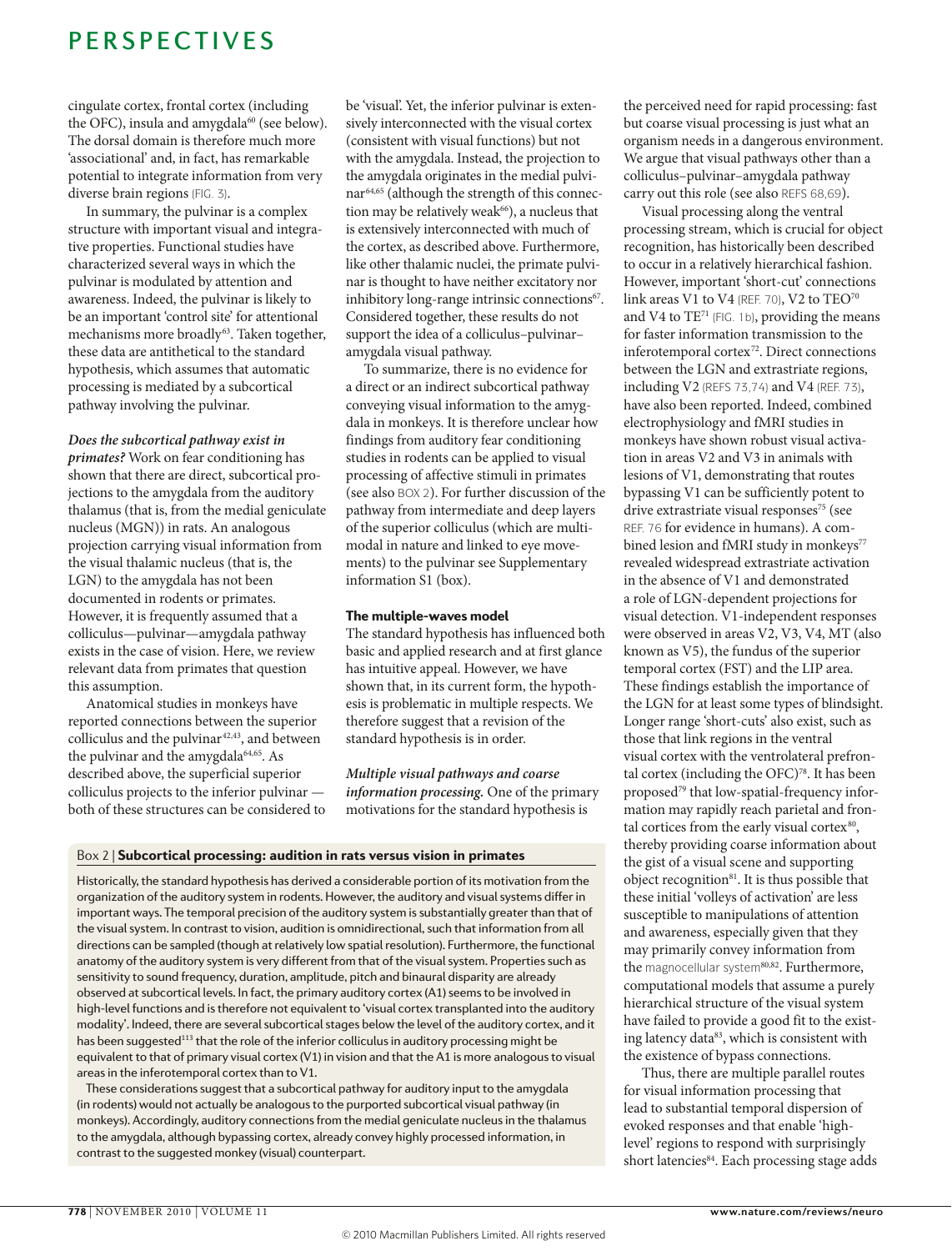cingulate cortex, frontal cortex (including the OFC), insula and amygdala<sup>60</sup> (see below). The dorsal domain is therefore much more 'associational' and, in fact, has remarkable potential to integrate information from very diverse brain regions (FIG. 3).

In summary, the pulvinar is a complex structure with important visual and integrative properties. Functional studies have characterized several ways in which the pulvinar is modulated by attention and awareness. Indeed, the pulvinar is likely to be an important 'control site' for attentional mechanisms more broadly<sup>63</sup>. Taken together, these data are antithetical to the standard hypothesis, which assumes that automatic processing is mediated by a subcortical pathway involving the pulvinar.

#### *Does the subcortical pathway exist in*

*primates?* work on fear conditioning has shown that there are direct, subcortical projections to the amygdala from the auditory thalamus (that is, from the medial geniculate nucleus (MGN)) in rats. An analogous projection carrying visual information from the visual thalamic nucleus (that is, the LGN) to the amygdala has not been documented in rodents or primates. However, it is frequently assumed that a colliculus—pulvinar—amygdala pathway exists in the case of vision. Here, we review relevant data from primates that question this assumption.

anatomical studies in monkeys have reported connections between the superior colliculus and the pulvinar<sup>42,43</sup>, and between the pulvinar and the amygdala<sup>64,65</sup>. As described above, the superficial superior colliculus projects to the inferior pulvinar both of these structures can be considered to be 'visual'. Yet, the inferior pulvinar is extensively interconnected with the visual cortex (consistent with visual functions) but not with the amygdala. Instead, the projection to the amygdala originates in the medial pulvinar64,65 (although the strength of this connection may be relatively weak<sup>66</sup>), a nucleus that is extensively interconnected with much of the cortex, as described above. Furthermore, like other thalamic nuclei, the primate pulvinar is thought to have neither excitatory nor inhibitory long-range intrinsic connections<sup>67</sup>. Considered together, these results do not support the idea of a colliculus–pulvinar– amygdala visual pathway.

To summarize, there is no evidence for a direct or an indirect subcortical pathway conveying visual information to the amygdala in monkeys. It is therefore unclear how findings from auditory fear conditioning studies in rodents can be applied to visual processing of affective stimuli in primates (see also BOX 2). For further discussion of the pathway from intermediate and deep layers of the superior colliculus (which are multimodal in nature and linked to eye movements) to the pulvinar see supplementary information s1 (box).

#### The multiple-waves model

The standard hypothesis has influenced both basic and applied research and at first glance has intuitive appeal. However, we have shown that, in its current form, the hypothesis is problematic in multiple respects. we therefore suggest that a revision of the standard hypothesis is in order.

*Multiple visual pathways and coarse information processing.* One of the primary motivations for the standard hypothesis is

#### Box 2 | Subcortical processing: audition in rats versus vision in primates

Historically, the standard hypothesis has derived a considerable portion of its motivation from the organization of the auditory system in rodents. However, the auditory and visual systems differ in important ways. The temporal precision of the auditory system is substantially greater than that of the visual system. In contrast to vision, audition is omnidirectional, such that information from all directions can be sampled (though at relatively low spatial resolution). Furthermore, the functional anatomy of the auditory system is very different from that of the visual system. Properties such as sensitivity to sound frequency, duration, amplitude, pitch and binaural disparity are already observed at subcortical levels. In fact, the primary auditory cortex (A1) seems to be involved in high-level functions and is therefore not equivalent to 'visual cortex transplanted into the auditory modality'. Indeed, there are several subcortical stages below the level of the auditory cortex, and it has been suggested<sup>113</sup> that the role of the inferior colliculus in auditory processing might be equivalent to that of primary visual cortex (V1) in vision and that the A1 is more analogous to visual areas in the inferotemporal cortex than to V1.

These considerations suggest that a subcortical pathway for auditory input to the amygdala (in rodents) would not actually be analogous to the purported subcortical visual pathway (in monkeys). Accordingly, auditory connections from the medial geniculate nucleus in the thalamus to the amygdala, although bypassing cortex, already convey highly processed information, in contrast to the suggested monkey (visual) counterpart.

the perceived need for rapid processing: fast but coarse visual processing is just what an organism needs in a dangerous environment. we argue that visual pathways other than a colliculus–pulvinar–amygdala pathway carry out this role (see also REFs 68,69).

visual processing along the ventral processing stream, which is crucial for object recognition, has historically been described to occur in a relatively hierarchical fashion. However, important 'short-cut' connections link areas V1 to V4 (REF. 70), V2 to  $TEO<sup>70</sup>$ and V4 to  $TE^{71}$  (FIG. 1b), providing the means for faster information transmission to the inferotemporal cortex72. Direct connections between the LGN and extrastriate regions, including  $V2$  (REFS 73,74) and  $V4$  (REF. 73), have also been reported. Indeed, combined electrophysiology and fMrI studies in monkeys have shown robust visual activation in areas V2 and V3 in animals with lesions of v1, demonstrating that routes bypassing v1 can be sufficiently potent to drive extrastriate visual responses<sup>75</sup> (see REF. 76 for evidence in humans). A combined lesion and fMRI study in monkeys<sup>77</sup> revealed widespread extrastriate activation in the absence of v1 and demonstrated a role of LGN-dependent projections for visual detection. v1-independent responses were observed in areas V2, V3, V4, MT (also known as v5), the fundus of the superior temporal cortex (FsT) and the lIP area. These findings establish the importance of the LGN for at least some types of blindsight. longer range 'short-cuts' also exist, such as those that link regions in the ventral visual cortex with the ventrolateral prefrontal cortex (including the OFC)<sup>78</sup>. It has been proposed79 that low-spatial-frequency information may rapidly reach parietal and frontal cortices from the early visual cortex80, thereby providing coarse information about the gist of a visual scene and supporting object recognition<sup>81</sup>. It is thus possible that these initial 'volleys of activation' are less susceptible to manipulations of attention and awareness, especially given that they may primarily convey information from the magnocellular system<sup>80,82</sup>. Furthermore, computational models that assume a purely hierarchical structure of the visual system have failed to provide a good fit to the existing latency data<sup>83</sup>, which is consistent with the existence of bypass connections.

Thus, there are multiple parallel routes for visual information processing that lead to substantial temporal dispersion of evoked responses and that enable 'highlevel' regions to respond with surprisingly short latencies<sup>84</sup>. Each processing stage adds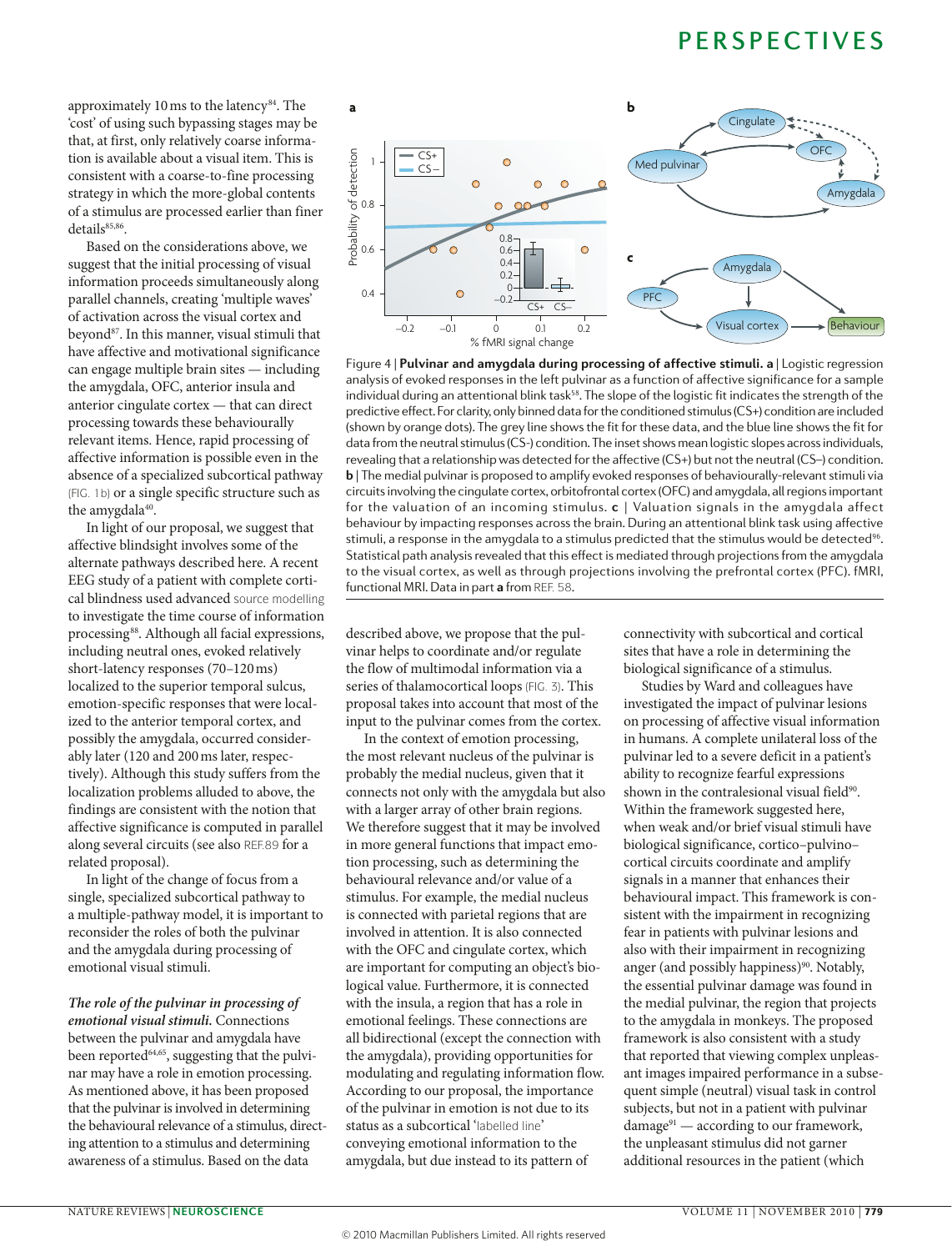approximately 10 ms to the latency<sup>84</sup>. The 'cost' of using such bypassing stages may be that, at first, only relatively coarse information is available about a visual item. This is consistent with a coarse-to-fine processing strategy in which the more-global contents of a stimulus are processed earlier than finer details<sup>85,86</sup>.

based on the considerations above, we suggest that the initial processing of visual information proceeds simultaneously along parallel channels, creating 'multiple waves' of activation across the visual cortex and beyond87. In this manner, visual stimuli that have affective and motivational significance can engage multiple brain sites — including the amygdala, oFC, anterior insula and anterior cingulate cortex — that can direct processing towards these behaviourally relevant items. Hence, rapid processing of affective information is possible even in the absence of a specialized subcortical pathway (FIG. 1b) or a single specific structure such as the amygdala<sup>40</sup>.

In light of our proposal, we suggest that affective blindsight involves some of the alternate pathways described here. A recent EEG study of a patient with complete cortical blindness used advanced source modelling to investigate the time course of information processing<sup>88</sup>. Although all facial expressions, including neutral ones, evoked relatively short-latency responses (70–120ms) localized to the superior temporal sulcus, emotion-specific responses that were localized to the anterior temporal cortex, and possibly the amygdala, occurred considerably later (120 and 200ms later, respectively). although this study suffers from the localization problems alluded to above, the findings are consistent with the notion that affective significance is computed in parallel along several circuits (see also REF.89 for a related proposal).

In light of the change of focus from a single, specialized subcortical pathway to a multiple-pathway model, it is important to reconsider the roles of both the pulvinar and the amygdala during processing of emotional visual stimuli.

*The role of the pulvinar in processing of emotional visual stimuli.* Connections between the pulvinar and amygdala have been reported<sup>64,65</sup>, suggesting that the pulvinar may have a role in emotion processing. as mentioned above, it has been proposed that the pulvinar is involved in determining the behavioural relevance of a stimulus, directing attention to a stimulus and determining awareness of a stimulus. Based on the data



**Nature Reviews** | **Neuroscience** analysis of evoked responses in the left pulvinar as a function of affective significance for a sample Figure 4 | **Pulvinar and amygdala during processing of affective stimuli. a** | Logistic regression individual during an attentional blink task<sup>58</sup>. The slope of the logistic fit indicates the strength of the predictive effect. For clarity, only binned data for the conditioned stimulus (CS+) condition are included (shown by orange dots). the grey line shows the fit for these data, and the blue line shows the fit for data from the neutral stimulus (CS-) condition. The inset shows mean logistic slopes across individuals, revealing that a relationship was detected for the affective (CS+) but not the neutral (CS-) condition. **b** | The medial pulvinar is proposed to amplify evoked responses of behaviourally-relevant stimuli via circuits involving the cingulate cortex, orbitofrontal cortex (OFc) and amygdala, all regions important for the valuation of an incoming stimulus. **c** | valuation signals in the amygdala affect behaviour by impacting responses across the brain. During an attentional blink task using affective stimuli, a response in the amygdala to a stimulus predicted that the stimulus would be detected<sup>96</sup>. statistical path analysis revealed that this effect is mediated through projections from the amygdala to the visual cortex, as well as through projections involving the prefrontal cortex (PFc). fMrI, functional MRI. Data in part a from REF. 58.

described above, we propose that the pulvinar helps to coordinate and/or regulate the flow of multimodal information via a series of thalamocortical loops (FIG. 3). This proposal takes into account that most of the input to the pulvinar comes from the cortex.

In the context of emotion processing, the most relevant nucleus of the pulvinar is probably the medial nucleus, given that it connects not only with the amygdala but also with a larger array of other brain regions. we therefore suggest that it may be involved in more general functions that impact emotion processing, such as determining the behavioural relevance and/or value of a stimulus. For example, the medial nucleus is connected with parietal regions that are involved in attention. It is also connected with the oFC and cingulate cortex, which are important for computing an object's biological value. Furthermore, it is connected with the insula, a region that has a role in emotional feelings. These connections are all bidirectional (except the connection with the amygdala), providing opportunities for modulating and regulating information flow. according to our proposal, the importance of the pulvinar in emotion is not due to its status as a subcortical 'labelled line' conveying emotional information to the amygdala, but due instead to its pattern of

connectivity with subcortical and cortical sites that have a role in determining the biological significance of a stimulus.

studies by ward and colleagues have investigated the impact of pulvinar lesions on processing of affective visual information in humans. A complete unilateral loss of the pulvinar led to a severe deficit in a patient's ability to recognize fearful expressions shown in the contralesional visual field<sup>90</sup>. within the framework suggested here, when weak and/or brief visual stimuli have biological significance, cortico–pulvino– cortical circuits coordinate and amplify signals in a manner that enhances their behavioural impact. This framework is consistent with the impairment in recognizing fear in patients with pulvinar lesions and also with their impairment in recognizing anger (and possibly happiness)<sup>90</sup>. Notably, the essential pulvinar damage was found in the medial pulvinar, the region that projects to the amygdala in monkeys. The proposed framework is also consistent with a study that reported that viewing complex unpleasant images impaired performance in a subsequent simple (neutral) visual task in control subjects, but not in a patient with pulvinar damage<sup>91</sup> — according to our framework, the unpleasant stimulus did not garner additional resources in the patient (which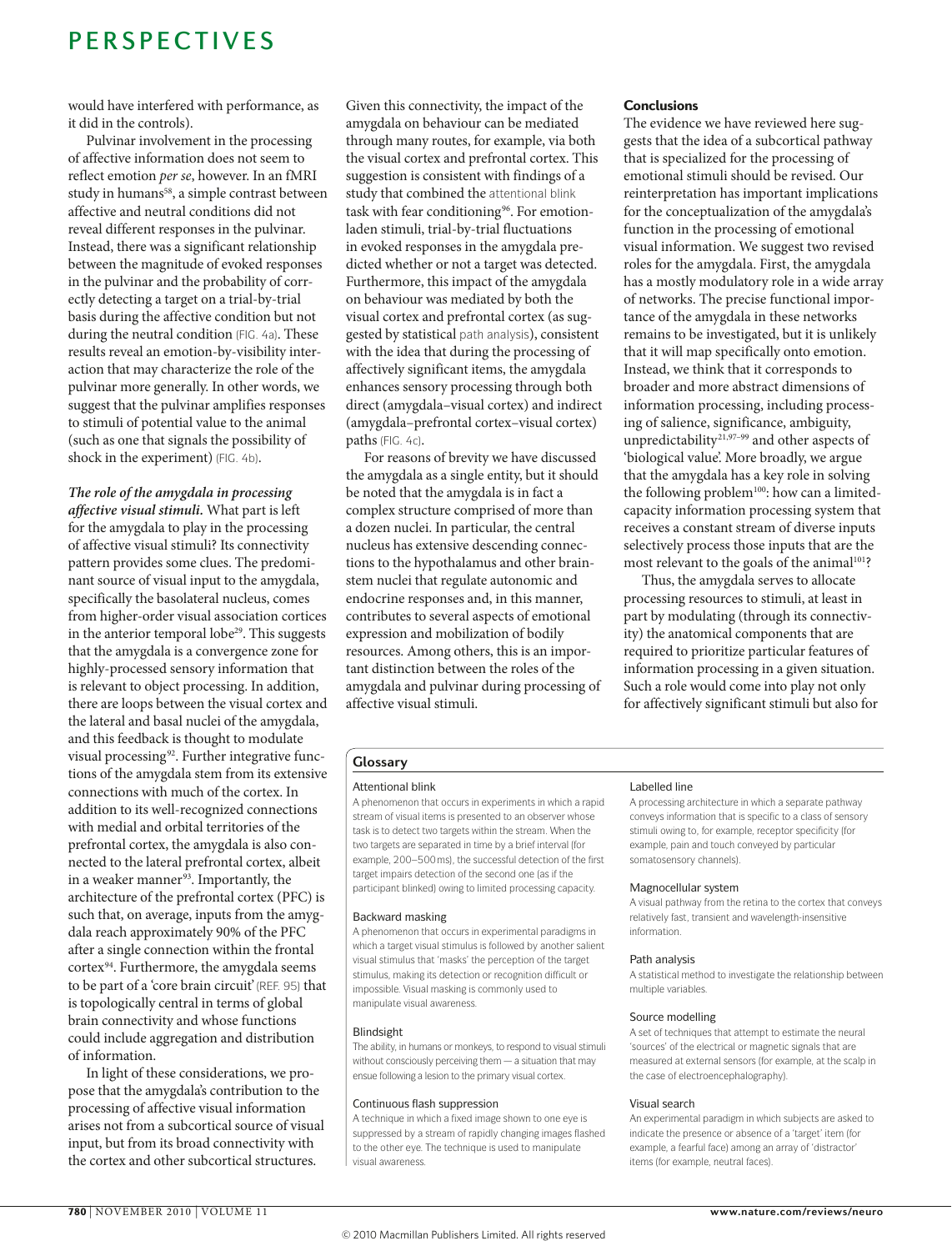would have interfered with performance, as it did in the controls).

Pulvinar involvement in the processing of affective information does not seem to reflect emotion *per se*, however. In an fMrI study in humans<sup>58</sup>, a simple contrast between affective and neutral conditions did not reveal different responses in the pulvinar. Instead, there was a significant relationship between the magnitude of evoked responses in the pulvinar and the probability of correctly detecting a target on a trial-by-trial basis during the affective condition but not during the neutral condition (FIG. 4a). These results reveal an emotion-by-visibility interaction that may characterize the role of the pulvinar more generally. In other words, we suggest that the pulvinar amplifies responses to stimuli of potential value to the animal (such as one that signals the possibility of shock in the experiment) (FIG. 4b).

*The role of the amygdala in processing affective visual stimuli.* what part is left for the amygdala to play in the processing of affective visual stimuli? Its connectivity pattern provides some clues. The predominant source of visual input to the amygdala, specifically the basolateral nucleus, comes from higher-order visual association cortices in the anterior temporal lobe<sup>29</sup>. This suggests that the amygdala is a convergence zone for highly-processed sensory information that is relevant to object processing. In addition, there are loops between the visual cortex and the lateral and basal nuclei of the amygdala, and this feedback is thought to modulate visual processing<sup>92</sup>. Further integrative functions of the amygdala stem from its extensive connections with much of the cortex. In addition to its well-recognized connections with medial and orbital territories of the prefrontal cortex, the amygdala is also connected to the lateral prefrontal cortex, albeit in a weaker manner<sup>93</sup>. Importantly, the architecture of the prefrontal cortex (PFC) is such that, on average, inputs from the amygdala reach approximately 90% of the PFC after a single connection within the frontal cortex<sup>94</sup>. Furthermore, the amygdala seems to be part of a 'core brain circuit' (REF. 95) that is topologically central in terms of global brain connectivity and whose functions could include aggregation and distribution of information.

In light of these considerations, we propose that the amygdala's contribution to the processing of affective visual information arises not from a subcortical source of visual input, but from its broad connectivity with the cortex and other subcortical structures.

Given this connectivity, the impact of the amygdala on behaviour can be mediated through many routes, for example, via both the visual cortex and prefrontal cortex. This suggestion is consistent with findings of a study that combined the attentional blink task with fear conditioning<sup>96</sup>. For emotionladen stimuli, trial-by-trial fluctuations in evoked responses in the amygdala predicted whether or not a target was detected. Furthermore, this impact of the amygdala on behaviour was mediated by both the visual cortex and prefrontal cortex (as suggested by statistical path analysis), consistent with the idea that during the processing of affectively significant items, the amygdala enhances sensory processing through both direct (amygdala–visual cortex) and indirect (amygdala–prefrontal cortex–visual cortex) paths (FIG. 4c).

For reasons of brevity we have discussed the amygdala as a single entity, but it should be noted that the amygdala is in fact a complex structure comprised of more than a dozen nuclei. In particular, the central nucleus has extensive descending connections to the hypothalamus and other brainstem nuclei that regulate autonomic and endocrine responses and, in this manner, contributes to several aspects of emotional expression and mobilization of bodily resources. Among others, this is an important distinction between the roles of the amygdala and pulvinar during processing of affective visual stimuli.

#### **Conclusions**

The evidence we have reviewed here suggests that the idea of a subcortical pathway that is specialized for the processing of emotional stimuli should be revised. Our reinterpretation has important implications for the conceptualization of the amygdala's function in the processing of emotional visual information. we suggest two revised roles for the amygdala. First, the amygdala has a mostly modulatory role in a wide array of networks. The precise functional importance of the amygdala in these networks remains to be investigated, but it is unlikely that it will map specifically onto emotion. Instead, we think that it corresponds to broader and more abstract dimensions of information processing, including processing of salience, significance, ambiguity, unpredictability<sup>21,97-99</sup> and other aspects of 'biological value'. More broadly, we argue that the amygdala has a key role in solving the following problem<sup>100</sup>: how can a limitedcapacity information processing system that receives a constant stream of diverse inputs selectively process those inputs that are the most relevant to the goals of the animal<sup>101</sup>?

Thus, the amygdala serves to allocate processing resources to stimuli, at least in part by modulating (through its connectivity) the anatomical components that are required to prioritize particular features of information processing in a given situation. such a role would come into play not only for affectively significant stimuli but also for

#### **Glossary**

#### Attentional blink

A phenomenon that occurs in experiments in which a rapid stream of visual items is presented to an observer whose task is to detect two targets within the stream. When the two targets are separated in time by a brief interval (for example, 200–500ms), the successful detection of the first target impairs detection of the second one (as if the participant blinked) owing to limited processing capacity.

#### Backward masking

A phenomenon that occurs in experimental paradigms in which a target visual stimulus is followed by another salient visual stimulus that 'masks' the perception of the target stimulus, making its detection or recognition difficult or impossible. Visual masking is commonly used to manipulate visual awareness.

#### Blindsight

The ability, in humans or monkeys, to respond to visual stimuli without consciously perceiving them — a situation that may ensue following a lesion to the primary visual cortex.

#### Continuous flash suppression

A technique in which a fixed image shown to one eye is suppressed by a stream of rapidly changing images flashed to the other eye. The technique is used to manipulate visual awareness.

#### Labelled line

A processing architecture in which a separate pathway conveys information that is specific to a class of sensory stimuli owing to, for example, receptor specificity (for example, pain and touch conveyed by particular somatosensory channels).

#### Magnocellular system

A visual pathway from the retina to the cortex that conveys relatively fast, transient and wavelength-insensitive information.

#### Path analysis

A statistical method to investigate the relationship between multiple variables.

#### Source modelling

A set of techniques that attempt to estimate the neural 'sources' of the electrical or magnetic signals that are measured at external sensors (for example, at the scalp in the case of electroencephalography).

#### Visual search

An experimental paradigm in which subjects are asked to indicate the presence or absence of a 'target' item (for example, a fearful face) among an array of 'distractor' items (for example, neutral faces).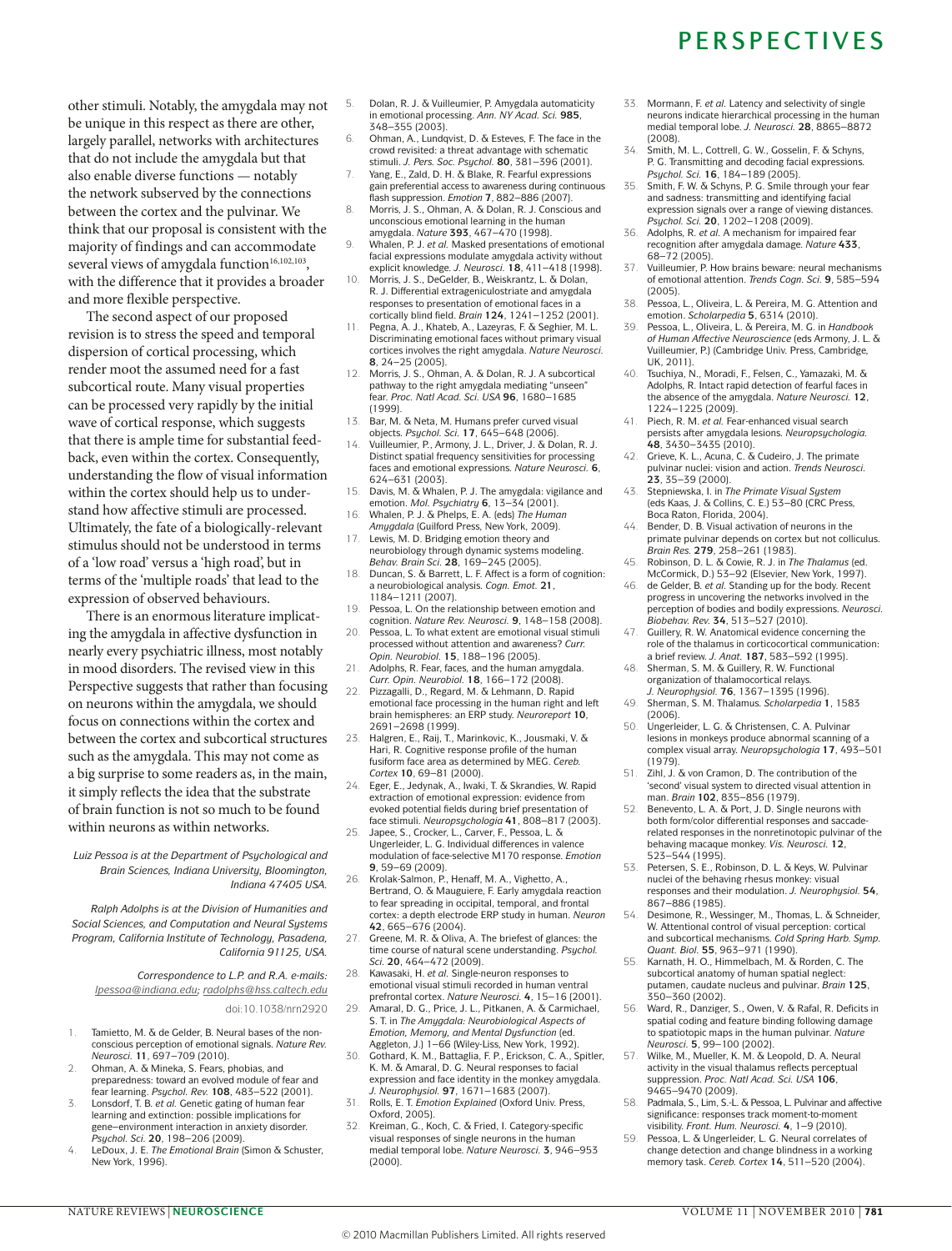other stimuli. Notably, the amygdala may not be unique in this respect as there are other, largely parallel, networks with architectures that do not include the amygdala but that also enable diverse functions — notably the network subserved by the connections between the cortex and the pulvinar. we think that our proposal is consistent with the majority of findings and can accommodate several views of amygdala function<sup>16,102,103</sup>, with the difference that it provides a broader and more flexible perspective.

The second aspect of our proposed revision is to stress the speed and temporal dispersion of cortical processing, which render moot the assumed need for a fast subcortical route. Many visual properties can be processed very rapidly by the initial wave of cortical response, which suggests that there is ample time for substantial feedback, even within the cortex. Consequently, understanding the flow of visual information within the cortex should help us to understand how affective stimuli are processed. Ultimately, the fate of a biologically-relevant stimulus should not be understood in terms of a 'low road' versus a 'high road', but in terms of the 'multiple roads' that lead to the expression of observed behaviours.

There is an enormous literature implicating the amygdala in affective dysfunction in nearly every psychiatric illness, most notably in mood disorders. The revised view in this Perspective suggests that rather than focusing on neurons within the amygdala, we should focus on connections within the cortex and between the cortex and subcortical structures such as the amygdala. This may not come as a big surprise to some readers as, in the main, it simply reflects the idea that the substrate of brain function is not so much to be found within neurons as within networks.

*Luiz Pessoa is at the Department of Psychological and Brain Sciences, Indiana University, Bloomington, Indiana 47405 USA.*

*Ralph Adolphs is at the Division of Humanities and Social Sciences, and Computation and Neural Systems Program, California Institute of Technology, Pasadena, California 91125, USA.*

*Correspondence to L.P. and R.A. e‑mails: lpessoa@indiana.edu; radolphs@hss.caltech.edu* doi:10.1038/nrn2920

- 1. Tamietto, M. & de Gelder, B. Neural bases of the nonconscious perception of emotional signals. *Nature Rev. Neurosci.* **11**, 697–709 (2010).
- 2. Ohman, A. & Mineka, S. Fears, phobias, and preparedness: toward an evolved module of fear and fear learning. *Psychol. Rev.* **108**, 483–522 (2001).
- 3. Lonsdorf, T. B. *et al.* Genetic gating of human fear learning and extinction: possible implications for gene–environment interaction in anxiety disorder. *Psychol. Sci.* **20**, 198–206 (2009).
- 4. LeDoux, J. E. *The Emotional Brain* (Simon & Schuster, New York, 1996).
- 5. Dolan, R. J. & Vuilleumier, P. Amygdala automaticity in emotional processing. *Ann. NY Acad. Sci.* **985**, 348–355 (2003).
- 6. Ohman, A., Lundqvist, D. & Esteves, F. The face in the crowd revisited: a threat advantage with schematic stimuli. *J. Pers. Soc. Psychol.* **80**, 381–396 (2001).
- Yang, E., Zald, D. H. & Blake, R. Fearful expressions gain preferential access to awareness during continuous flash suppression. *Emotion* **7**, 882–886 (2007).
- 8. Morris, J. S., Ohman, A. & Dolan, R. J. Conscious and unconscious emotional learning in the human amygdala. *Nature* **393**, 467–470 (1998).
- 9. Whalen, P. J. *et al.* Masked presentations of emotional facial expressions modulate amygdala activity without explicit knowledge. *J. Neurosci.* **18**, 411–418 (1998).
- 10. Morris, J. S., DeGelder, B., Weiskrantz, L. & Dolan, R. J. Differential extrageniculostriate and amygdala responses to presentation of emotional faces in a cortically blind field. *Brain* **124**, 1241–1252 (2001).
- 11. Pegna, A. J., Khateb, A., Lazeyras, F. & Seghier, M. L. Discriminating emotional faces without primary visual cortices involves the right amygdala. *Nature Neurosci.* **8**, 24–25 (2005).
- 12. Morris, J. S., Ohman, A. & Dolan, R. J. A subcortical pathway to the right amygdala mediating "unseen" fear. *Proc. Natl Acad. Sci. USA* **96**, 1680–1685 (1999).
- 13. Bar, M. & Neta, M. Humans prefer curved visual objects. *Psychol. Sci.* **17**, 645–648 (2006).
- 14. Vuilleumier, P., Armony, J. L., Driver, J. & Dolan, R. J. Distinct spatial frequency sensitivities for processing faces and emotional expressions. *Nature Neurosci.* **6**, 624–631 (2003).
- 15. Davis, M. & Whalen, P. J. The amygdala: vigilance and emotion. *Mol. Psychiatry* **6**, 13–34 (2001).
- 16. Whalen, P. J. & Phelps, E. A. (eds) *The Human Amygdala* (Guilford Press, New York, 2009). Lewis, M. D. Bridging emotion theory and
- neurobiology through dynamic systems modeling. *Behav. Brain Sci.* **28**, 169–245 (2005).
- 18. Duncan, S. & Barrett, L. F. Affect is a form of cognition: a neurobiological analysis. *Cogn. Emot.* **21**, 1184–1211 (2007).
- Pessoa, L. On the relationship between emotion and cognition. *Nature Rev. Neurosci.* **9**, 148–158 (2008).
- 20. Pessoa, L. To what extent are emotional visual stimuli processed without attention and awareness? *Curr. Opin. Neurobiol.* **15**, 188–196 (2005).
- Adolphs, R. Fear, faces, and the human amygdala. *Curr. Opin. Neurobiol.* **18**, 166–172 (2008).
- 22. Pizzagalli, D., Regard, M. & Lehmann, D. Rapid emotional face processing in the human right and left brain hemispheres: an ERP study. *Neuroreport* **10**, 2691–2698 (1999).
- 23. Halgren, E., Raij, T., Marinkovic, K., Jousmaki, V. & Hari, R. Cognitive response profile of the human fusiform face area as determined by MEG. *Cereb. Cortex* **10**, 69–81 (2000).
- 24. Eger, E., Jedynak, A., Iwaki, T. & Skrandies, W. Rapid extraction of emotional expression: evidence from evoked potential fields during brief presentation of face stimuli. *Neuropsychologia* **41**, 808–817 (2003).
- 25. Japee, S., Crocker, L., Carver, F., Pessoa, L. & Ungerleider, L. G. Individual differences in valence modulation of face-selective M170 response. *Emotion* **9**, 59–69 (2009).
- 26. Krolak-Salmon, P., Henaff, M. A., Vighetto, A., Bertrand, O. & Mauguiere, F. Early amygdala reaction to fear spreading in occipital, temporal, and frontal cortex: a depth electrode ERP study in human. *Neuron* **42**, 665–676 (2004).
- 27. Greene, M. R. & Oliva, A. The briefest of glances: the time course of natural scene understanding. *Psychol. Sci.* **20**, 464–472 (2009).
- 28. Kawasaki, H. *et al.* Single-neuron responses to emotional visual stimuli recorded in human ventral prefrontal cortex. *Nature Neurosci.* **4**, 15–16 (2001).
- 29. Amaral, D. G., Price, J. L., Pitkanen, A. & Carmichael, S. T. in *The Amygdala: Neurobiological Aspects of Emotion, Memory, and Mental Dysfunction* (ed. Aggleton, J.) 1–66 (Wiley-Liss, New York, 1992).
- 30. Gothard, K. M., Battaglia, F. P., Erickson, C. A., Spitler, K. M. & Amaral, D. G. Neural responses to facial expression and face identity in the monkey amygdala. *J. Neurophysiol.* **97**, 1671–1683 (2007).
- 31. Rolls, E. T. *Emotion Explained* (Oxford Univ. Press, Oxford, 2005).
- Kreiman, G., Koch, C. & Fried, I. Category-specific visual responses of single neurons in the human medial temporal lobe. *Nature Neurosci.* **3**, 946–953 (2000).
- 33. Mormann, F. *et al.* Latency and selectivity of single neurons indicate hierarchical processing in the human medial temporal lobe. *J. Neurosci.* **28**, 8865–8872 (2008).
- 34. Smith, M. L., Cottrell, G. W., Gosselin, F. & Schyns, P. G. Transmitting and decoding facial expressions. *Psychol. Sci.* **16**, 184–189 (2005).
- 35. Smith, F. W. & Schyns, P. G. Smile through your fear and sadness: transmitting and identifying facial expression signals over a range of viewing distances. *Psychol. Sci.* **20**, 1202–1208 (2009).
- 36. Adolphs, R. *et al.* A mechanism for impaired fear recognition after amygdala damage. *Nature* **433**, 68–72 (2005).
- 37. Vuilleumier, P. How brains beware: neural mechanisms of emotional attention. *Trends Cogn. Sci.* **9**, 585–594 (2005).
- 38. Pessoa, L., Oliveira, L. & Pereira, M. G. Attention and emotion. *Scholarpedia* **5**, 6314 (2010).
- 39. Pessoa, L., Oliveira, L. & Pereira, M. G. in *Handbook of Human Affective Neuroscience* (eds Armony, J. L. & Vuilleumier, P.) (Cambridge Univ. Press, Cambridge, UK, 2011).
- 40. Tsuchiya, N., Moradi, F., Felsen, C., Yamazaki, M. & Adolphs, R. Intact rapid detection of fearful faces in the absence of the amygdala. *Nature Neurosci.* **12**, 1224–1225 (2009).
- 41. Piech, R. M. *et al.* Fear-enhanced visual search persists after amygdala lesions. *Neuropsychologia.* **48**, 3430–3435 (2010).
- 42. Grieve, K. L., Acuna, C. & Cudeiro, J. The primate pulvinar nuclei: vision and action. *Trends Neurosci.* **23**, 35–39 (2000).
- 43. Stepniewska, I. in *The Primate Visual System* (eds Kaas, J. & Collins, C. E.) 53–80 (CRC Press, Boca Raton, Florida, 2004).
- 44. Bender, D. B. Visual activation of neurons in the primate pulvinar depends on cortex but not colliculus. *Brain Res.* **279**, 258–261 (1983).
- 45. Robinson, D. L. & Cowie, R. J. in *The Thalamus* (ed. McCormick, D.) 53–92 (Elsevier, New York, 1997).
- 46. de Gelder, B. *et al.* Standing up for the body. Recent progress in uncovering the networks involved in the perception of bodies and bodily expressions. *Neurosci. Biobehav. Rev.* **34**, 513–527 (2010).
- 47. Guillery, R. W. Anatomical evidence concerning the role of the thalamus in corticocortical communication: a brief review. *J. Anat.* **187**, 583–592 (1995).
- Sherman, S. M. & Guillery, R. W. Functional organization of thalamocortical relays. *J. Neurophysiol.* **76**, 1367–1395 (1996).
- 49. Sherman, S. M. Thalamus. *Scholarpedia* **1**, 1583 (2006).
- 50. Ungerleider, L. G. & Christensen, C. A. Pulvinar lesions in monkeys produce abnormal scanning of a complex visual array. *Neuropsychologia* **17**, 493–501 (1979).
- 51. Zihl, J. & von Cramon, D. The contribution of the 'second' visual system to directed visual attention in man. *Brain* **102**, 835–856 (1979).
- Benevento, L. A. & Port, J. D. Single neurons with both form/color differential responses and saccaderelated responses in the nonretinotopic pulvinar of the behaving macaque monkey. *Vis. Neurosci.* **12**, 523–544 (1995).
- 53. Petersen, S. E., Robinson, D. L. & Keys, W. Pulvinar nuclei of the behaving rhesus monkey: visual responses and their modulation. *J. Neurophysiol.* **54**, 867–886 (1985).
- 54. Desimone, R., Wessinger, M., Thomas, L. & Schneider, W. Attentional control of visual perception: cortical and subcortical mechanisms. *Cold Spring Harb. Symp. Quant. Biol.* **55**, 963–971 (1990).
- 55. Karnath, H. O., Himmelbach, M. & Rorden, C. The subcortical anatomy of human spatial neglect: putamen, caudate nucleus and pulvinar. *Brain* **125**, 350–360 (2002).
- 56. Ward, R., Danziger, S., Owen, V. & Rafal, R. Deficits in spatial coding and feature binding following damage to spatiotopic maps in the human pulvinar. *Nature Neurosci.* **5**, 99–100 (2002).
- 57. Wilke, M., Mueller, K. M. & Leopold, D. A. Neural activity in the visual thalamus reflects perceptual suppression. *Proc. Natl Acad. Sci. USA* **106**, 9465–9470 (2009).
- 58. Padmala, S., Lim, S.-L. & Pessoa, L. Pulvinar and affective significance: responses track moment-to-moment visibility. *Front. Hum. Neurosci.* **4**, 1–9 (2010).
- 59. Pessoa, L. & Ungerleider, L. G. Neural correlates of change detection and change blindness in a working memory task. *Cereb. Cortex* **14**, 511–520 (2004).